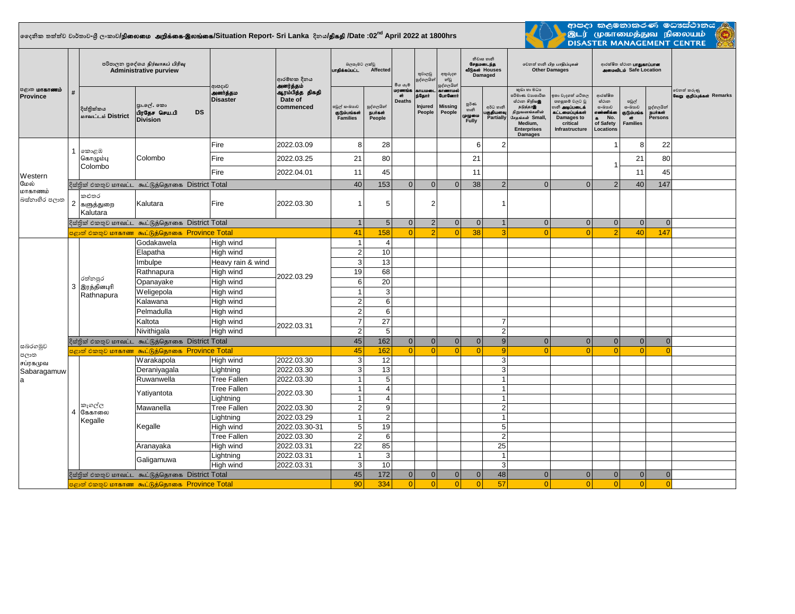## **දදනික තත්ත්ව වාර්තාව-ශ්රී ලංකාව/**epiyik mwpf;if-,yq;if**/Situation Report- Sri Lanka දිනය/**jpfjp **/Date :02nd April 2022 at 1800hrs**



. ආපදා කළමනාකරණ මටාස්ථානය<br>. මූLர் முகாமைத்துவ நிலையம்<br>. DISASTER MANAGEMENT CENTRE

| <b>பருமாகாணம்</b><br>Province | #              | පරිපාලන පුදේශය நிர்வாகப் பிரிவு<br><b>Administrative purview</b> |                                                              |                                                              | ආරම්භක දිනය                  | බලපෑමට ලක්වු<br>பாதிக்கப்பட்ட<br>Affected |                                 | මිය යෑම                       | තුවාලවු<br>පුද්ගලයින්                          | අතුරුදහ<br>න්වූ<br>පුද්ගලයින්                                  | නිවාස හානි<br>சேதமடைந்த<br>வீடுகள் Houses<br>Damaged |                                     | லிகை வகி பிற பாதிப்புகள்<br><b>Other Damages</b>                                                                                                       |                                                                                                                                 | ආරක්ෂිත ස්ථාන <b>பாதுகாப்பான</b><br><b>ANGIOUS</b> Safe Location           |                                                                    |                                        |                                           |
|-------------------------------|----------------|------------------------------------------------------------------|--------------------------------------------------------------|--------------------------------------------------------------|------------------------------|-------------------------------------------|---------------------------------|-------------------------------|------------------------------------------------|----------------------------------------------------------------|------------------------------------------------------|-------------------------------------|--------------------------------------------------------------------------------------------------------------------------------------------------------|---------------------------------------------------------------------------------------------------------------------------------|----------------------------------------------------------------------------|--------------------------------------------------------------------|----------------------------------------|-------------------------------------------|
|                               |                | දිස්තික්කය<br>மாவட்டம் District                                  | පුා.ලල්. කො<br>பிரதேச செய.பி<br><b>DS</b><br><b>Division</b> | அனர்த்தம்<br>ආපදාව<br>அனர்த்தம<br>Date of<br><b>Disaster</b> | ஆரம்பித்த திகதி<br>commenced | පවුල් සංඛාගව<br>குடும்பங்கள்<br>Families  | පුද්ගලයින්<br>நபர்கள்<br>People | மரணங்க<br>ள்<br><b>Deaths</b> | <b>ATUJIOCO</b><br>ந்தோர்<br>Injured<br>People | <b>ATGETIOS</b><br><b>GunGermi</b><br><b>Missing</b><br>People | පූර්ණ<br>හානි<br>முழுமை<br>Fully                     | අර්ධ හානි<br>பகுதியளவு<br>Partially | කුඩා හා මධා<br>පරිමාණ වාහපාරික<br>ස්ථාන හිறியஇ<br>நடுத்தரஇ<br>நிறுவனங்களின்<br>.<br>சேதங்கள் Small,<br>Medium.<br><b>Enterprises</b><br><b>Damages</b> | ඉතා වැදගත් යටිතල<br>පහසුකම් වලට වු<br>.<br>ல <b>ி அடிப்படைக்</b><br>கட்டமைப்புக்கள்<br>Damages to<br>critical<br>Infrastructure | ආරක්ෂිත<br>ස්ථාන<br>යංඛායව<br>எண்ணிக்கை<br>a No.<br>of Safety<br>Locations | පවුල්<br>සංඛාගව<br>குடும்பங்க<br>$\overline{m}$<br><b>Families</b> | පුද්ගලයින්<br>நபாகள்<br><b>Persons</b> | වෙනත් කරුණු<br>வேறு குறிப்புக்கள் Remarks |
|                               |                | 1   කොළඹ<br>கொழும்பு<br>Colombo                                  | Colombo                                                      | Fire                                                         | 2022.03.09                   | 8                                         | 28                              |                               |                                                |                                                                | 6                                                    | $\overline{2}$                      |                                                                                                                                                        |                                                                                                                                 |                                                                            | 8                                                                  | 22                                     |                                           |
|                               |                |                                                                  |                                                              | Fire                                                         | 2022.03.25                   | 21                                        | 80                              |                               |                                                |                                                                | 21                                                   |                                     |                                                                                                                                                        |                                                                                                                                 |                                                                            | 21                                                                 | 80                                     |                                           |
|                               |                |                                                                  |                                                              | Fire                                                         | 2022.04.01                   | 11                                        | 45                              |                               |                                                |                                                                | 11                                                   |                                     |                                                                                                                                                        |                                                                                                                                 |                                                                            | 11                                                                 | 45                                     |                                           |
| Western<br>மேல்               |                |                                                                  | දිස්තික් එකතුව மாவட்ட கூட்டுத்தொகை District Total            |                                                              |                              |                                           | 40<br>153                       | $\overline{0}$                | $\Omega$                                       | $\Omega$                                                       | 38                                                   | $\overline{2}$                      | $\Omega$                                                                                                                                               | $\Omega$                                                                                                                        | $\overline{2}$                                                             | 40                                                                 | 147                                    |                                           |
| மாகாணம்<br>බස්තාහිර පලාත      |                | කළුතර<br>2 களுத்துறை<br>Kalutara                                 | Kalutara                                                     | Fire                                                         | 2022.03.30                   |                                           | 5                               |                               | 2                                              |                                                                |                                                      | $\overline{\mathbf{1}}$             |                                                                                                                                                        |                                                                                                                                 |                                                                            |                                                                    |                                        |                                           |
|                               |                |                                                                  | දිස්තික් එකතුව மாவட்ட கூட்டுத்தொகை District Total            |                                                              |                              | $\overline{1}$                            | 5 <sup>1</sup>                  | $\overline{0}$                | 2                                              | $\overline{0}$                                                 | $\mathbf{0}$                                         | $\overline{1}$                      | $\mathbf{0}$                                                                                                                                           | $\overline{0}$                                                                                                                  | 0                                                                          | $\mathbf{0}$                                                       | $\mathbf 0$                            |                                           |
|                               |                | <mark>පළාත් එකතුව மாகாண கூட்டுத்தொகை Province Total</mark>       |                                                              |                                                              |                              | 41                                        | 158                             | $\Omega$                      |                                                | $\Omega$                                                       | 38                                                   | 3                                   | $\Omega$                                                                                                                                               | $\Omega$                                                                                                                        | $\mathcal{D}$                                                              | 40                                                                 | 147                                    |                                           |
|                               |                | රත්නපුර<br>3 இரத்தினபுரி<br>Rathnapura                           | Godakawela                                                   | High wind                                                    | 2022.03.29<br>2022.03.31     | $\overline{1}$                            | $\overline{4}$                  |                               |                                                |                                                                |                                                      |                                     |                                                                                                                                                        |                                                                                                                                 |                                                                            |                                                                    |                                        |                                           |
|                               |                |                                                                  | Elapatha                                                     | High wind                                                    |                              | $\overline{2}$                            | 10                              |                               |                                                |                                                                |                                                      |                                     |                                                                                                                                                        |                                                                                                                                 |                                                                            |                                                                    |                                        |                                           |
|                               |                |                                                                  | Imbulpe                                                      | Heavy rain & wind                                            |                              | $\mathbf{3}$                              | 13                              |                               |                                                |                                                                |                                                      |                                     |                                                                                                                                                        |                                                                                                                                 |                                                                            |                                                                    |                                        |                                           |
|                               |                |                                                                  | Rathnapura                                                   | High wind                                                    |                              | 19                                        | 68                              |                               |                                                |                                                                |                                                      |                                     |                                                                                                                                                        |                                                                                                                                 |                                                                            |                                                                    |                                        |                                           |
|                               |                |                                                                  | Opanayake                                                    | High wind                                                    |                              | 6                                         | 20                              |                               |                                                |                                                                |                                                      |                                     |                                                                                                                                                        |                                                                                                                                 |                                                                            |                                                                    |                                        |                                           |
|                               |                |                                                                  | Weligepola                                                   | High wind                                                    |                              | $\mathbf{1}$                              | 3                               |                               |                                                |                                                                |                                                      |                                     |                                                                                                                                                        |                                                                                                                                 |                                                                            |                                                                    |                                        |                                           |
|                               |                |                                                                  | Kalawana                                                     | High wind                                                    |                              | $\overline{2}$                            | 6                               |                               |                                                |                                                                |                                                      |                                     |                                                                                                                                                        |                                                                                                                                 |                                                                            |                                                                    |                                        |                                           |
|                               |                |                                                                  | Pelmadulla                                                   | High wind                                                    |                              | $\overline{2}$                            | $6\phantom{1}6$                 |                               |                                                |                                                                |                                                      |                                     |                                                                                                                                                        |                                                                                                                                 |                                                                            |                                                                    |                                        |                                           |
|                               |                |                                                                  | Kaltota                                                      | High wind                                                    |                              | $\overline{7}$                            | 27                              |                               |                                                |                                                                |                                                      | $\overline{7}$                      |                                                                                                                                                        |                                                                                                                                 |                                                                            |                                                                    |                                        |                                           |
|                               |                |                                                                  | Nivithigala                                                  | High wind                                                    |                              | 2                                         | 5                               |                               |                                                |                                                                |                                                      | $\overline{2}$                      |                                                                                                                                                        |                                                                                                                                 |                                                                            |                                                                    |                                        |                                           |
|                               |                |                                                                  | දිස්තික් එකතුව மாவட்ட கூட்டுத்தொகை District Total            |                                                              |                              | 45                                        | 162                             | $\overline{0}$                | $\Omega$                                       | $\Omega$                                                       | $\mathbf{0}$                                         | 9                                   | $\mathbf{0}$                                                                                                                                           | $\overline{0}$                                                                                                                  | 0                                                                          | $\mathbf{0}$                                                       | $\Omega$                               |                                           |
| සබරගමුව<br>පලාත               |                | <mark>පළාත් එකතුව மாகாண கூட்டுத்தொகை Province Total</mark>       | 45                                                           | 162                                                          | $\Omega$                     | $\Omega$                                  | $\Omega$                        | $\Omega$                      | 9                                              | $\Omega$                                                       | $\Omega$                                             | $\Omega$                            | $\Omega$                                                                                                                                               | $\Omega$                                                                                                                        |                                                                            |                                                                    |                                        |                                           |
| சப்ரகமுவ<br>Sabaragamuw<br>a  | $\overline{4}$ | කෑගල්ල<br>கேகாலை<br>Kegalle                                      | Warakapola                                                   | High wind                                                    | 2022.03.30                   | 3                                         | 12                              |                               |                                                |                                                                |                                                      | 3                                   |                                                                                                                                                        |                                                                                                                                 |                                                                            |                                                                    |                                        |                                           |
|                               |                |                                                                  | Deraniyagala                                                 | Lightning                                                    | 2022.03.30                   | $\mathbf{3}$                              | 13                              |                               |                                                |                                                                |                                                      | 3                                   |                                                                                                                                                        |                                                                                                                                 |                                                                            |                                                                    |                                        |                                           |
|                               |                |                                                                  | Ruwanwella                                                   | <b>Tree Fallen</b>                                           | 2022.03.30                   | $\mathbf{1}$                              | 5                               |                               |                                                |                                                                |                                                      | $\overline{1}$                      |                                                                                                                                                        |                                                                                                                                 |                                                                            |                                                                    |                                        |                                           |
|                               |                |                                                                  | Yatiyantota                                                  | <b>Tree Fallen</b>                                           | 2022.03.30                   | $\mathbf{1}$                              | $\overline{4}$                  |                               |                                                |                                                                |                                                      | $\overline{1}$                      |                                                                                                                                                        |                                                                                                                                 |                                                                            |                                                                    |                                        |                                           |
|                               |                |                                                                  |                                                              | Lightning                                                    |                              | $\mathbf 1$                               | $\overline{4}$                  |                               |                                                |                                                                |                                                      | $\overline{1}$                      |                                                                                                                                                        |                                                                                                                                 |                                                                            |                                                                    |                                        |                                           |
|                               |                |                                                                  | Mawanella                                                    | <b>Tree Fallen</b>                                           | 2022.03.30                   | $\overline{2}$                            | 9                               |                               |                                                |                                                                |                                                      | $\overline{2}$                      |                                                                                                                                                        |                                                                                                                                 |                                                                            |                                                                    |                                        |                                           |
|                               |                |                                                                  | Kegalle                                                      | Lightning                                                    | 2022.03.29                   | $\overline{1}$                            | $\overline{2}$                  |                               |                                                |                                                                |                                                      | $\overline{1}$                      |                                                                                                                                                        |                                                                                                                                 |                                                                            |                                                                    |                                        |                                           |
|                               |                |                                                                  |                                                              | High wind                                                    | 2022.03.30-31                | $5\phantom{.0}$                           | 19                              |                               |                                                |                                                                |                                                      | 5                                   |                                                                                                                                                        |                                                                                                                                 |                                                                            |                                                                    |                                        |                                           |
|                               |                |                                                                  |                                                              | <b>Tree Fallen</b><br>High wind                              | 2022.03.30<br>2022.03.31     | $\overline{2}$<br>22                      | $6\phantom{1}6$<br>85           |                               |                                                |                                                                |                                                      | $\overline{2}$<br>25                |                                                                                                                                                        |                                                                                                                                 |                                                                            |                                                                    |                                        |                                           |
|                               |                |                                                                  | Aranayaka                                                    |                                                              | 2022.03.31                   | $\overline{1}$                            | $\mathbf{3}$                    |                               |                                                |                                                                |                                                      | $\overline{1}$                      |                                                                                                                                                        |                                                                                                                                 |                                                                            |                                                                    |                                        |                                           |
|                               |                |                                                                  | Galigamuwa                                                   | Lightning<br>High wind                                       | 2022.03.31                   | 3                                         | 10                              |                               |                                                |                                                                |                                                      | 3                                   |                                                                                                                                                        |                                                                                                                                 |                                                                            |                                                                    |                                        |                                           |
|                               |                |                                                                  | දිස්තික් එකතුව மாவட்ட கூட்டுத்தொகை District Total            |                                                              |                              | 45                                        | 172                             | $\overline{0}$                | $\Omega$                                       | $\overline{0}$                                                 | 0                                                    | 48                                  | $\mathbf{0}$                                                                                                                                           | $\overline{0}$                                                                                                                  | 0                                                                          | 0                                                                  | $\mathbf{0}$                           |                                           |
|                               |                |                                                                  | <mark>පළාත් එකතුව மாகாண கூட்டுத்தொகை Province Total</mark>   |                                                              |                              | 90                                        | 334                             | $\Omega$                      | $\Omega$                                       | $\Omega$                                                       | $\Omega$                                             | 57                                  | $\Omega$                                                                                                                                               | $\Omega$                                                                                                                        | $\Omega$                                                                   | $\Omega$                                                           | $\Omega$                               |                                           |